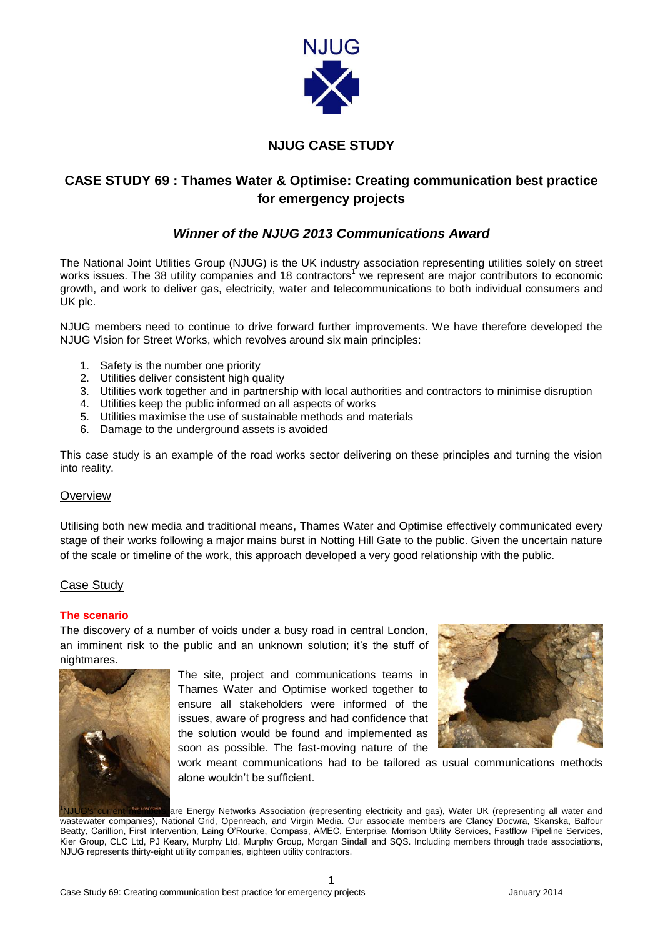

## **NJUG CASE STUDY**

# **CASE STUDY 69 : Thames Water & Optimise: Creating communication best practice for emergency projects**

## *Winner of the NJUG 2013 Communications Award*

The National Joint Utilities Group (NJUG) is the UK industry association representing utilities solely on street works issues. The 38 utility companies and 18 contractors<sup>1</sup> we represent are major contributors to economic growth, and work to deliver gas, electricity, water and telecommunications to both individual consumers and UK plc.

NJUG members need to continue to drive forward further improvements. We have therefore developed the NJUG Vision for Street Works, which revolves around six main principles:

- 1. Safety is the number one priority
- 2. Utilities deliver consistent high quality
- 3. Utilities work together and in partnership with local authorities and contractors to minimise disruption
- 4. Utilities keep the public informed on all aspects of works
- 5. Utilities maximise the use of sustainable methods and materials
- 6. Damage to the underground assets is avoided

This case study is an example of the road works sector delivering on these principles and turning the vision into reality.

## **Overview**

Utilising both new media and traditional means, Thames Water and Optimise effectively communicated every stage of their works following a major mains burst in Notting Hill Gate to the public. Given the uncertain nature of the scale or timeline of the work, this approach developed a very good relationship with the public.

## Case Study

#### **The scenario**

The discovery of a number of voids under a busy road in central London, an imminent risk to the public and an unknown solution; it's the stuff of nightmares.



The site, project and communications teams in Thames Water and Optimise worked together to ensure all stakeholders were informed of the issues, aware of progress and had confidence that the solution would be found and implemented as soon as possible. The fast-moving nature of the



work meant communications had to be tailored as usual communications methods alone wouldn't be sufficient.

are Energy Networks Association (representing electricity and gas), Water UK (representing all water and wastewater companies), National Grid, Openreach, and Virgin Media. Our associate members are Clancy Docwra, Skanska, Balfour Beatty, Carillion, First Intervention, Laing O'Rourke, Compass, AMEC, Enterprise, Morrison Utility Services, Fastflow Pipeline Services, Kier Group, CLC Ltd, PJ Keary, Murphy Ltd, Murphy Group, Morgan Sindall and SQS. Including members through trade associations, NJUG represents thirty-eight utility companies, eighteen utility contractors.